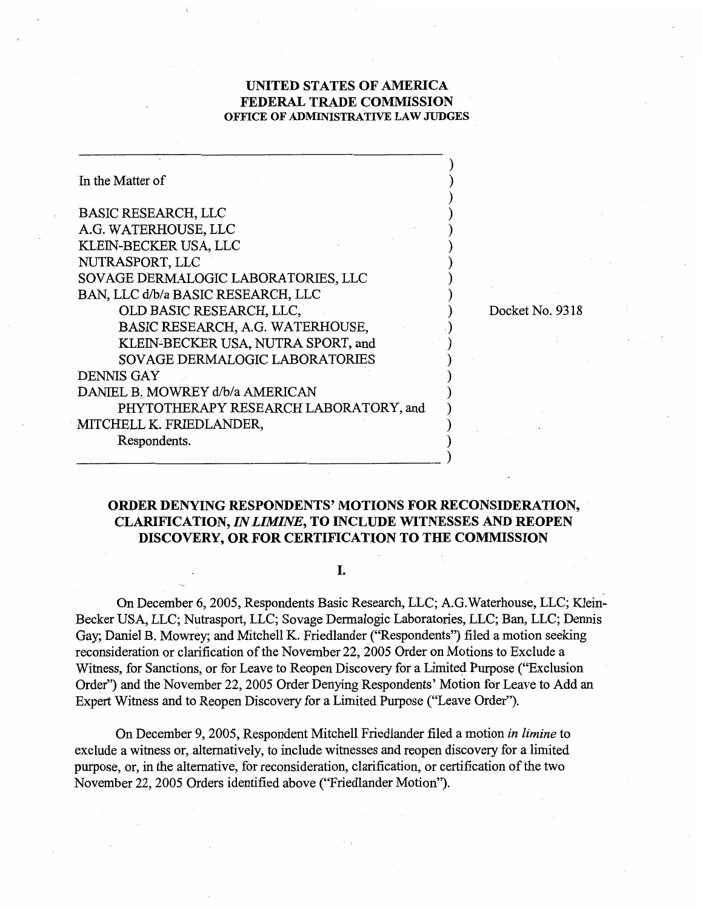## **UNITED STATES OF AMERICA FEDERAL TRADE COMMISSION OFHCE OF ADMINISTRATIVE LAW JUDGES**

| In the Matter of                      |                 |
|---------------------------------------|-----------------|
| <b>BASIC RESEARCH, LLC</b>            |                 |
| A.G. WATERHOUSE, LLC                  |                 |
| KLEIN-BECKER USA, LLC                 |                 |
| NUTRASPORT, LLC                       |                 |
| SOVAGE DERMALOGIC LABORATORIES, LLC   |                 |
| BAN, LLC d/b/a BASIC RESEARCH, LLC    |                 |
| OLD BASIC RESEARCH, LLC,              | Docket No. 9318 |
| BASIC RESEARCH, A.G. WATERHOUSE,      |                 |
| KLEIN-BECKER USA, NUTRA SPORT, and    |                 |
| <b>SOVAGE DERMALOGIC LABORATORIES</b> |                 |
| <b>DENNIS GAY</b>                     |                 |
| DANIEL B. MOWREY d/b/a AMERICAN       |                 |
| PHYTOTHERAPY RESEARCH LABORATORY, and |                 |
| MITCHELL K. FRIEDLANDER,              |                 |
| Respondents.                          |                 |
|                                       |                 |

# **ORDER DENYING RESPONDENTS' MOTIONS FOR RECONSIDERATION, CLARIFICATION, INLIMINE, TO INCLUDE WITNESSES AND REOPEN DISCOVERY, OR FOR CERTIFICATION TO THE COMMISSION**  .

#### I.

On December 6,2005, Respondents Basic Research, LLC; A.G.Waterhouse, LLC; Klein-Becker USA, LLC; Nutrasport, LLC; Sovage Dermalogic Laboratories, LLC; Ban, LLC; Dennis Gay; Daniel B. Mowrey; and Mitchell K. Friedlander ("Respondents") filed a motion seeking reconsideration or clarification of the November 22, 2005 Order on Motions to Exclude a Witness, for Sanctions, or for Leave to Reopen Discovery for a Limited Purpose ("Exclusion") Order") and the November 22,2005 Order Denying Respondents' Motion for Leave to Add an Expert Witness and to Reopen Discovery for a Limited Purpose ("Leave Order").

On December 9,2005, Respondent Mitchell Friedlander filed a motion **in** *limine* to exclude a witness or, alternatively, to include witnesses and reopen discovery for a limited purpose, or, in the alternative, for reconsideration, clarification, or certification of the two November 22,2005 Orders identified above ("Friedlander Motion").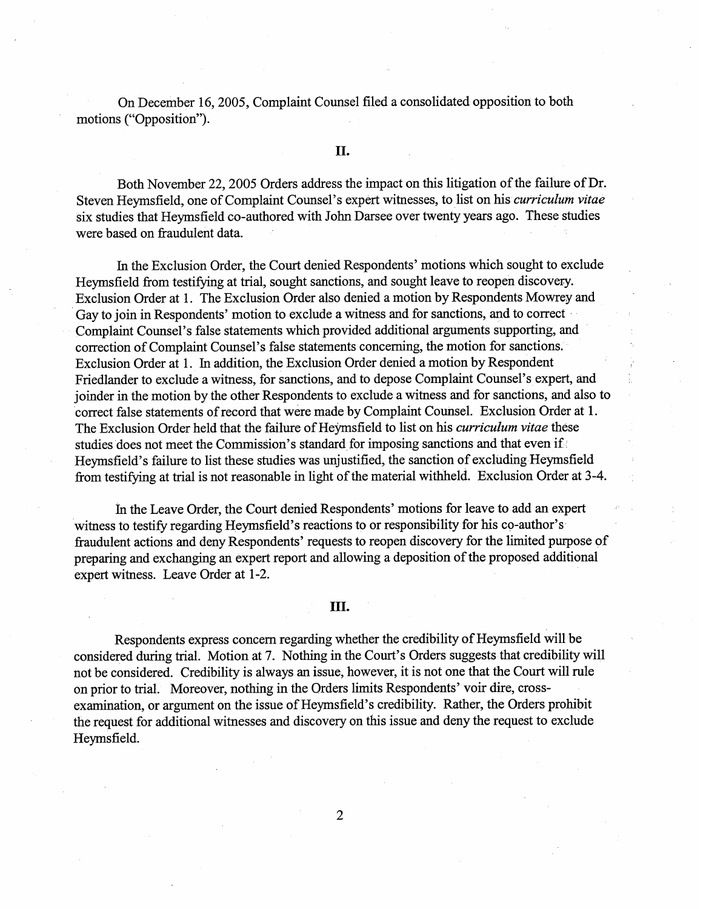On December 16,2005, Complaint Counsel filed a consolidated opposition to both motions ("Opposition").

### **II.**

Both November 22, 2005 Orders address the impact on this litigation of the failure of Dr. Steven Heymsfield, one of Complaint Counsel's expert witnesses, to list on his *curriculum vitae*  six studies that Heymsfield co-authored with John Darsee over twenty years ago. These studies were based on fraudulent data.

In the Exclusion Order, the Court denied Respondents' motions which sought to exclude Heymsfield from testifying at trial, sought sanctions, and sought leave to reopen discovery. Exclusion Order at 1. The Exclusion Order also denied a motion by Respondents Mowrey and Gay to join in Respondents' motion to exclude a witness and for sanctions, and to correct Complaint Counsel's false statements which provided additional arguments supporting, and correction of Complaint Counsel's false statements concerning, the motion for sanctions. Exclusion Order at 1. In addition, the Exclusion Order denied a motion by Respondent Friedlander to exclude a witness, for sanctions, and to depose Complaint Counsel's expert, and joinder in the motion by the other Respondents to exclude a witness and for sanctions, and also to correct false statements of record that were made by Complaint Counsel. Exclusion Order at 1. The Exclusion Order held that the failure of Heymsfield to list on his *curriculum vitae* these studies does not meet the Commission's standard for imposing sanctions and that even if Heymsfield's failure to list these studies was unjustified, the sanction of excluding Heymsfield from testifying at trial is not reasonable in light of the material withheld. Exclusion Order at 3-4.

In the Leave Order, the Court denied Respondents' motions for leave to add an expert witness to testify regarding Heymsfield's reactions to or responsibility for his co-author's fiaudulent actions and deny Respondents' requests to reopen discovery for the limited purpose of preparing and exchanging an expert report and allowing a deposition of the proposed additional expert witness. Leave Order at 1-2.

## III.

Respondents express concern regarding whether the credibility of Heymsfield will be considered during trial. Motion at 7. Nothing in the Court's Orders suggests that credibility will not be considered. Credibility is always an issue, however, it is not one that the Court will rule on prior to trial. Moreover, nothing in the Orders limits Respondents' voir dire, crossexamination, or argument on the issue of Heymsfield's credibility. Rather, the Orders prohibit the request for additional witnesses and discovery on this issue and deny the request to exclude Heyms field.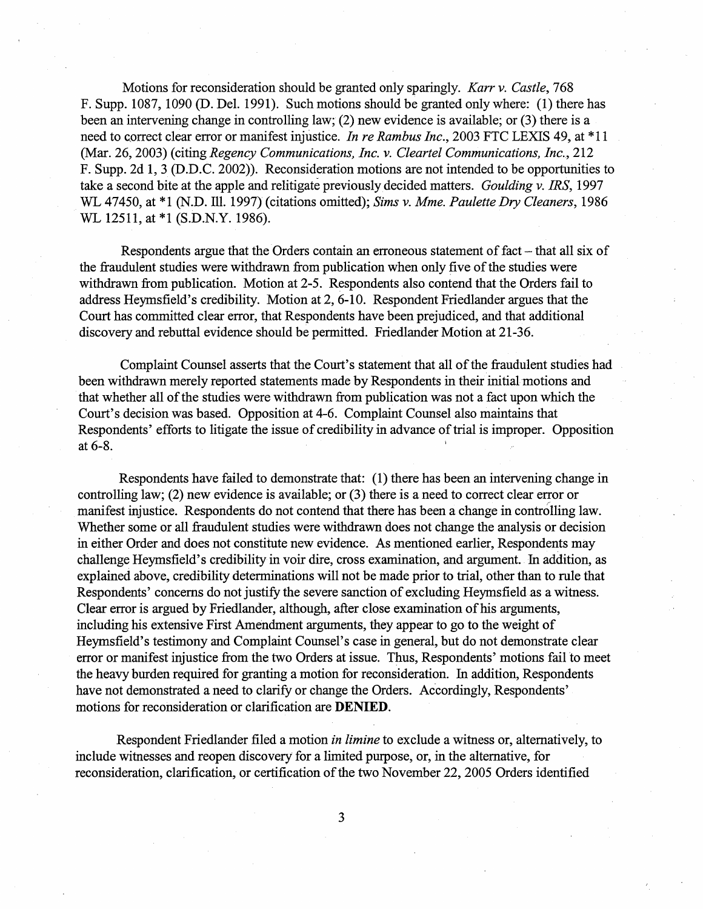Motions for reconsideration should be granted only sparingly. Karr v. Castle, 768 F. Supp. 1087, 1090 (D. Del. 1991). Such motions should be granted only where: (1) there has been an intervening change in controlling law; (2) new evidence is available; or (3) there is a need to correct clear error or manifest injustice. In re Rambus Inc., 2003 FTC LEXIS 49, at \*11 (Mar. 26,2003) (citing Regency Communications, Inc. v. Cleartel Communications, Inc., 212 F. Supp. 2d 1,3 (D.D.C. 2002)). Reconsideration motions are not intended to be opportunities to take a second bite at the apple and relitigate previously decided matters. Goulding v. IRS, 1997 WL 47450, at \*1 (N.D. Ill. 1997) (citations omitted); Sims v. Mme. Paulette Dry Cleaners, 1986 WL 12511, at \*1 (S.D.N.Y. 1986).

Respondents argue that the Orders contain an erroneous statement of fact – that all six of the fraudulent studies were withdrawn from publication when only five of the studies were withdrawn from publication. Motion at 2-5. Respondents also contend that the Orders fail to address Heymsfield's credibility. Motion at 2,6-10. Respondent Friedlander argues that the Court has committed clear error, that Respondents have been prejudiced, and that additional discovery and rebuttal evidence should be permitted. Friedlander Motion at 21-36.

Complaint Counsel asserts that the Court's statement that all of the fraudulent studies had been withdrawn merely reported statements made by Respondents in their initial motions and that whether all of the studies were withdrawn fiom publication was not a fact upon which the Court's decision was based. Opposition at 4-6. Complaint Counsel also maintains that Respondents' efforts to litigate the issue of credibility in advance of trial is improper. Opposition at  $6-8$ .

Respondents have failed to demonstrate that: (1) there has been an intervening change in controlling law; (2) new evidence is available; or (3) there is a need to correct clear error or manifest injustice. Respondents do not contend that there has been a change in controlling law. Whether some or all fraudulent studies were withdrawn does not change the analysis or decision in either Order and does not constitute new evidence. As mentioned earlier, Respondents may challenge Heymsfield's credibility in voir dire, cross examination, and argument. In addition, as explained above, credibility determinations will not be made prior to trial, other than to rule that Respondents' concerns do not justify the severe sanction of excluding Heymsfield as a witness. Clear error is argued by Friedlander, although, after close examination of his arguments, including his extensive First Amendment arguments, they appear to go to the weight of Heymsfield's testimony and Complaint Counsel's case in general, but do not demonstrate clear error or manifest injustice from the two Orders at issue. Thus, Respondents' motions fail to meet the heavy burden required for granting a motion for reconsideration. In addition, Respondents have not demonstrated a need to clarify or change the Orders. Accordingly, Respondents' motions for reconsideration or clarification are DENIED.

Respondent Friedlander filed a motion in limine to exclude a witness or, alternatively, to include witnesses and reopen discovery for a limited purpose, or, in the alternative, for reconsideration, clarification, or certification of the two November 22,2005 Orders identified

 $\overline{3}$